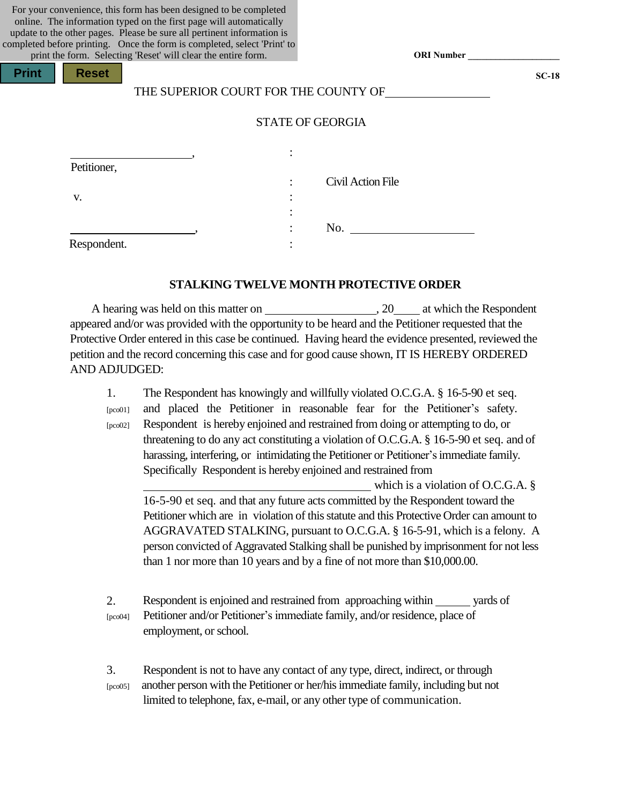| For your convenience, this form has been designed to be completed        |
|--------------------------------------------------------------------------|
| online. The information typed on the first page will automatically       |
| update to the other pages. Please be sure all pertinent information is   |
| completed before printing. Once the form is completed, select 'Print' to |
| print the form. Selecting 'Reset' will clear the entire form.            |

| <b>Print</b> | <b>Reset</b> |
|--------------|--------------|
|--------------|--------------|

#### THE SUPERIOR COURT FOR THE COUNTY OF

## STATE OF GEORGIA

| Petitioner, |                                             |
|-------------|---------------------------------------------|
|             | Civil Action File<br>$\bullet$<br>$\bullet$ |
| V.          |                                             |
|             | $\bullet$                                   |
|             | No.<br>٠                                    |
| Respondent. |                                             |

## **STALKING TWELVE MONTH PROTECTIVE ORDER**

 A hearing was held on this matter on , 20 at which the Respondent appeared and/or was provided with the opportunity to be heard and the Petitioner requested that the Protective Order entered in this case be continued. Having heard the evidence presented, reviewed the petition and the record concerning this case and for good cause shown, IT IS HEREBY ORDERED AND ADJUDGED:

| The Respondent has knowingly and willfully violated O.C.G.A. § 16-5-90 et seq.                                                                                |  |  |  |  |
|---------------------------------------------------------------------------------------------------------------------------------------------------------------|--|--|--|--|
| and placed the Petitioner in reasonable fear for the Petitioner's safety.                                                                                     |  |  |  |  |
| Respondent is hereby enjoined and restrained from doing or attempting to do, or                                                                               |  |  |  |  |
| threatening to do any act constituting a violation of O.C.G.A. § 16-5-90 et seq. and of                                                                       |  |  |  |  |
| harassing, interfering, or intimidating the Petitioner or Petitioner's immediate family.                                                                      |  |  |  |  |
| Specifically Respondent is hereby enjoined and restrained from                                                                                                |  |  |  |  |
| which is a violation of O.C.G.A. $\S$                                                                                                                         |  |  |  |  |
| 16-5-90 et seq. and that any future acts committed by the Respondent toward the                                                                               |  |  |  |  |
| Petitioner which are in violation of this statute and this Protective Order can amount to                                                                     |  |  |  |  |
| AGGRAVATED STALKING, pursuant to O.C.G.A. § 16-5-91, which is a felony. A                                                                                     |  |  |  |  |
| person convicted of Aggravated Stalking shall be punished by imprisonment for not less                                                                        |  |  |  |  |
| than 1 nor more than 10 years and by a fine of not more than \$10,000.00.                                                                                     |  |  |  |  |
|                                                                                                                                                               |  |  |  |  |
| Respondent is enjoined and restrained from approaching within _______ yards of<br>Petitioner and/or Petitioner's immediate family, and/or residence, place of |  |  |  |  |
| employment, or school.                                                                                                                                        |  |  |  |  |
|                                                                                                                                                               |  |  |  |  |

3. Respondent is not to have any contact of any type, direct, indirect, or through [pco05] another person with the Petitioner or her/hisimmediate family, including but not limited to telephone, fax, e-mail, or any other type of communication.

**SC-18**

**ORI Number \_\_\_\_\_\_\_\_\_\_\_\_\_\_\_\_\_\_\_\_**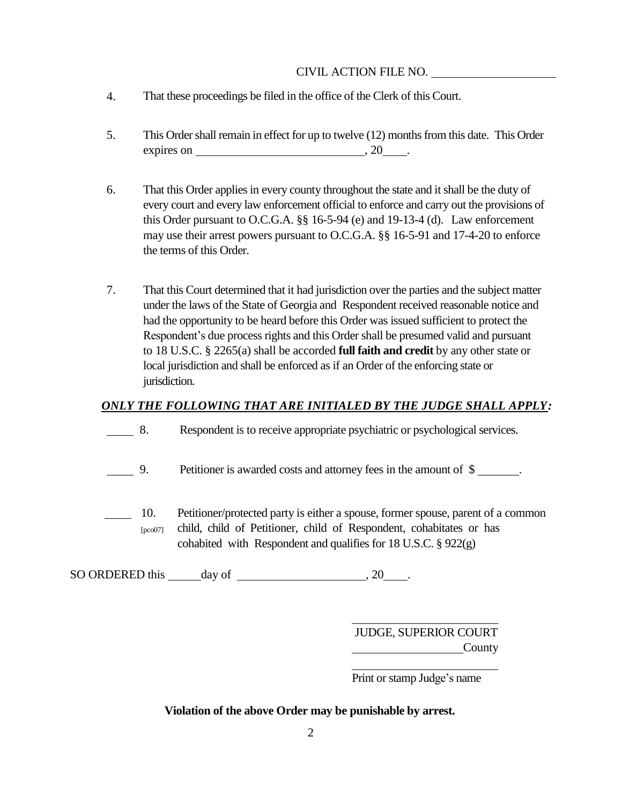#### CIVIL ACTION FILE NO.

- 4. That these proceedings be filed in the office of the Clerk of this Court.
- 5. This Ordershall remain in effect for up to twelve (12) monthsfrom this date. This Order expires on  $\_\_\_\_\_\_\$ , 20 $\_\_\_\_\_\$
- 6. That this Order appliesin every county throughout the state and it shall be the duty of every court and every law enforcement official to enforce and carry out the provisions of this Order pursuant to O.C.G.A. §§ 16-5-94 (e) and 19-13-4 (d). Law enforcement may use their arrest powers pursuant to O.C.G.A. §§ 16-5-91 and 17-4-20 to enforce the terms of this Order.
- 7. That this Court determined that it had jurisdiction over the parties and the subject matter under the laws of the State of Georgia and Respondent received reasonable notice and had the opportunity to be heard before this Order was issued sufficient to protect the Respondent's due process rights and this Order shall be presumed valid and pursuant to 18 U.S.C. § 2265(a) shall be accorded **full faith and credit** by any other state or local jurisdiction and shall be enforced as if an Order of the enforcing state or jurisdiction.

## *ONLY THE FOLLOWING THAT ARE INITIALED BY THE JUDGE SHALL APPLY:*

- 8. Respondent is to receive appropriate psychiatric or psychological services.
- 9. Petitioner is awarded costs and attorney fees in the amount of \$ .
- 10. [pco07] Petitioner/protected party is either a spouse, former spouse, parent of a common child, child of Petitioner, child of Respondent, cohabitates or has cohabited with Respondent and qualifies for 18 U.S.C. § 922(g)

SO ORDERED this  $\qquad \qquad$  day of  $\qquad \qquad$ , 20  $\qquad$ .

JUDGE, SUPERIOR COURT **County** 

Print or stamp Judge's name

**Violation of the above Order may be punishable by arrest.**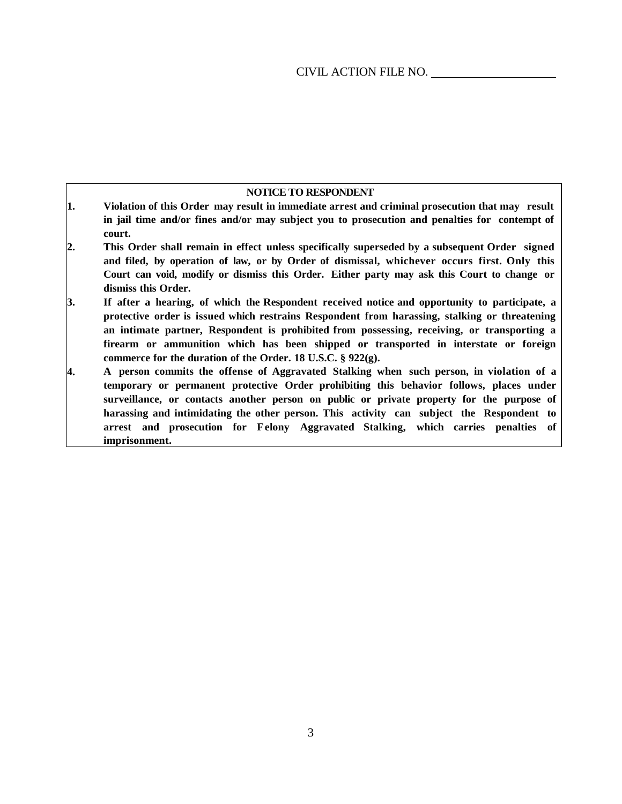| <b>NOTICE TO RESPONDENT</b> |  |
|-----------------------------|--|
|-----------------------------|--|

- **1. Violation of this Order may result in immediate arrest and criminal prosecution that may result in jail time and/or fines and/or may subject you to prosecution and penalties for contempt of court.**
- **2. This Order shall remain in effect unless specifically superseded by a subsequent Order signed and filed, by operation of law, or by Order of dismissal, whichever occurs first. Only this Court can void, modify or dismiss this Order. Either party may ask this Court to change or dismiss this Order.**
- **3. If after a hearing, of which the Respondent received notice and opportunity to participate, a protective order is issued which restrains Respondent from harassing, stalking or threatening an intimate partner, Respondent is prohibited from possessing, receiving, or transporting a firearm or ammunition which has been shipped or transported in interstate or foreign commerce for the duration of the Order. 18 U.S.C. § 922(g).**
- **4. A person commits the offense of Aggravated Stalking when such person, in violation of a temporary or permanent protective Order prohibiting this behavior follows, places under surveillance, or contacts another person on public or private property for the purpose of harassing and intimidating the other person. This activity can subject the Respondent to arrest and prosecution for Felony Aggravated Stalking, which carries penalties of imprisonment.**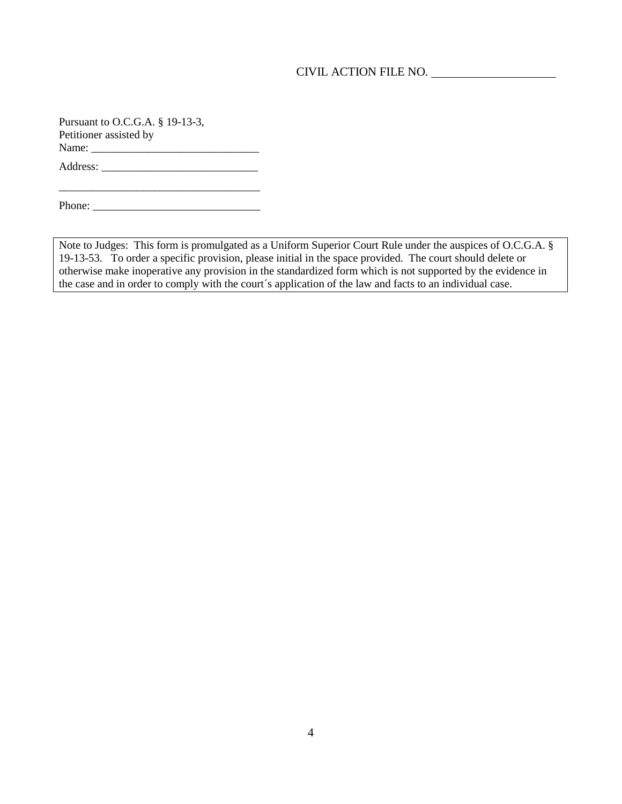## CIVIL ACTION FILE NO.

Pursuant to O.C.G.A. § 19-13-3, Petitioner assisted by Name: \_\_\_\_\_\_\_\_\_\_\_\_\_\_\_\_\_\_\_\_\_\_\_\_\_\_\_\_\_\_

Address: \_\_\_\_\_\_\_\_\_\_\_\_\_\_\_\_\_\_\_\_\_\_\_\_\_\_\_\_

Phone: \_\_\_\_\_\_\_\_\_\_\_\_\_\_\_\_\_\_\_\_\_\_\_\_\_\_\_\_\_\_

 $\mathcal{L}_\text{max} = \frac{1}{2} \sum_{i=1}^{n} \frac{1}{2} \sum_{i=1}^{n} \frac{1}{2} \sum_{i=1}^{n} \frac{1}{2} \sum_{i=1}^{n} \frac{1}{2} \sum_{i=1}^{n} \frac{1}{2} \sum_{i=1}^{n} \frac{1}{2} \sum_{i=1}^{n} \frac{1}{2} \sum_{i=1}^{n} \frac{1}{2} \sum_{i=1}^{n} \frac{1}{2} \sum_{i=1}^{n} \frac{1}{2} \sum_{i=1}^{n} \frac{1}{2} \sum_{i=1}^{n} \frac{1$ 

Note to Judges: This form is promulgated as a Uniform Superior Court Rule under the auspices of O.C.G.A. § 19-13-53. To order a specific provision, please initial in the space provided. The court should delete or otherwise make inoperative any provision in the standardized form which is not supported by the evidence in the case and in order to comply with the court´s application of the law and facts to an individual case.